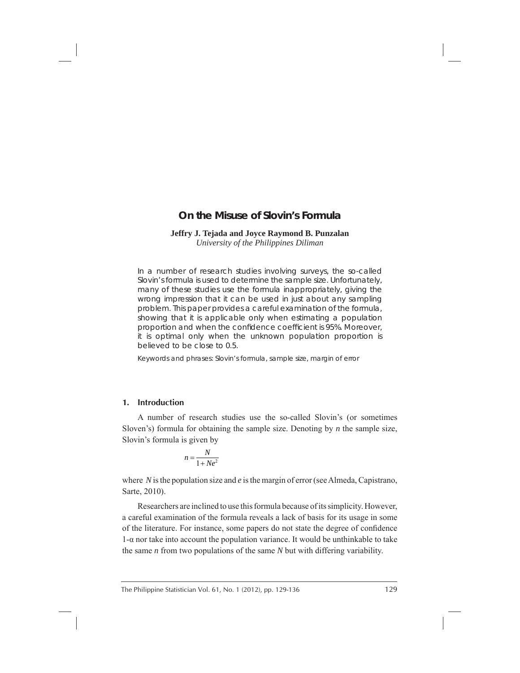# **On the Misuse of Slovin's Formula**

#### **Jeffry J. Tejada and Joyce Raymond B. Punzalan** *University of the Philippines Diliman*

In a number of research studies involving surveys, the so-called Slovin's formula is used to determine the sample size. Unfortunately, many of these studies use the formula inappropriately, giving the wrong impression that it can be used in just about any sampling problem. This paper provides a careful examination of the formula, showing that it is applicable only when estimating a population proportion and when the confidence coefficient is 95%. Moreover, it is optimal only when the unknown population proportion is believed to be close to 0.5.

*Keywords and phrases*: Slovin's formula, sample size, margin of error

# **1. Introduction**

A number of research studies use the so-called Slovin's (or sometimes Sloven's) formula for obtaining the sample size. Denoting by *n* the sample size, Slovin's formula is given by

$$
n = \frac{N}{1 + Ne^2}
$$

where *N* is the population size and *e* is the margin of error (see Almeda, Capistrano, Sarte, 2010).

Researchers are inclined to use this formula because of its simplicity. However, a careful examination of the formula reveals a lack of basis for its usage in some of the literature. For instance, some papers do not state the degree of confidence 1-α nor take into account the population variance. It would be unthinkable to take the same *n* from two populations of the same *N* but with differing variability.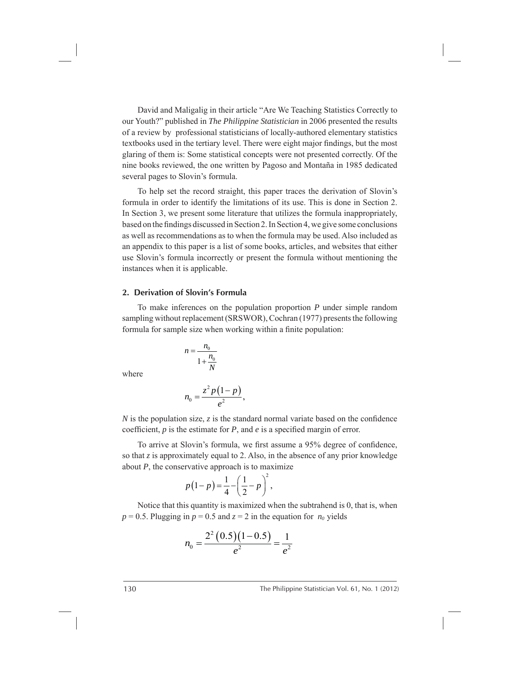David and Maligalig in their article "Are We Teaching Statistics Correctly to our Youth?" published in *The Philippine Statistician* in 2006 presented the results of a review by professional statisticians of locally-authored elementary statistics textbooks used in the tertiary level. There were eight major findings, but the most glaring of them is: Some statistical concepts were not presented correctly. Of the nine books reviewed, the one written by Pagoso and Montaña in 1985 dedicated several pages to Slovin's formula.

To help set the record straight, this paper traces the derivation of Slovin's formula in order to identify the limitations of its use. This is done in Section 2. In Section 3, we present some literature that utilizes the formula inappropriately, based on the findings discussed in Section 2. In Section 4, we give some conclusions as well as recommendations as to when the formula may be used. Also included as an appendix to this paper is a list of some books, articles, and websites that either use Slovin's formula incorrectly or present the formula without mentioning the instances when it is applicable.

#### **2. Derivation of Slovin's Formula**

To make inferences on the population proportion *P* under simple random sampling without replacement (SRSWOR), Cochran (1977) presents the following formula for sample size when working within a finite population:

$$
n = \frac{n_0}{1 + \frac{n_0}{N}}
$$

where

$$
n_0=\frac{z^2p(1-p)}{e^2},
$$

*N* is the population size, *z* is the standard normal variate based on the confidence coefficient,  $p$  is the estimate for  $P$ , and  $e$  is a specified margin of error.

To arrive at Slovin's formula, we first assume a 95% degree of confidence, so that *z* is approximately equal to 2. Also, in the absence of any prior knowledge about *P*, the conservative approach is to maximize

$$
p(1-p) = \frac{1}{4} - \left(\frac{1}{2} - p\right)^2,
$$

Notice that this quantity is maximized when the subtrahend is 0, that is, when  $p = 0.5$ . Plugging in  $p = 0.5$  and  $z = 2$  in the equation for  $n_0$  yields

$$
n_0 = \frac{2^2 (0.5)(1 - 0.5)}{e^2} = \frac{1}{e^2}
$$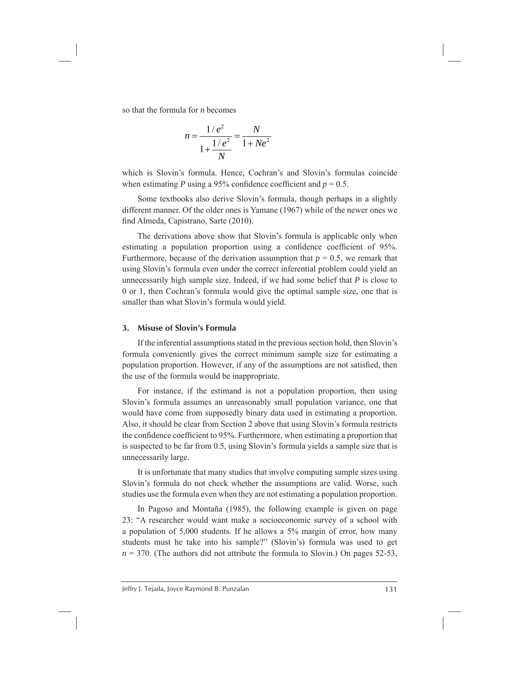so that the formula for *n* becomes

$$
n = \frac{1/e^2}{1 + \frac{1/e^2}{N}} = \frac{N}{1 + Ne^2}
$$

which is Slovin's formula. Hence, Cochran's and Slovin's formulas coincide when estimating *P* using a 95% confidence coefficient and  $p = 0.5$ .

Some textbooks also derive Slovin's formula, though perhaps in a slightly different manner. Of the older ones is Yamane (1967) while of the newer ones we find Almeda, Capistrano, Sarte (2010).

The derivations above show that Slovin's formula is applicable only when estimating a population proportion using a confidence coefficient of 95%. Furthermore, because of the derivation assumption that  $p = 0.5$ , we remark that using Slovin's formula even under the correct inferential problem could yield an unnecessarily high sample size. Indeed, if we had some belief that *P* is close to 0 or 1, then Cochran's formula would give the optimal sample size, one that is smaller than what Slovin's formula would yield.

# **3. Misuse of Slovin's Formula**

If the inferential assumptions stated in the previous section hold, then Slovin's formula conveniently gives the correct minimum sample size for estimating a population proportion. However, if any of the assumptions are not satisfied, then the use of the formula would be inappropriate.

For instance, if the estimand is not a population proportion, then using Slovin's formula assumes an unreasonably small population variance, one that would have come from supposedly binary data used in estimating a proportion. Also, it should be clear from Section 2 above that using Slovin's formula restricts the confidence coefficient to 95%. Furthermore, when estimating a proportion that is suspected to be far from 0.5, using Slovin's formula yields a sample size that is unnecessarily large.

It is unfortunate that many studies that involve computing sample sizes using Slovin's formula do not check whether the assumptions are valid. Worse, such studies use the formula even when they are not estimating a population proportion.

In Pagoso and Montaña (1985), the following example is given on page 23: "A researcher would want make a socioeconomic survey of a school with a population of 5,000 students. If he allows a 5% margin of error, how many students must he take into his sample?" (Slovin's) formula was used to get  $n = 370$ . (The authors did not attribute the formula to Slovin.) On pages 52-53,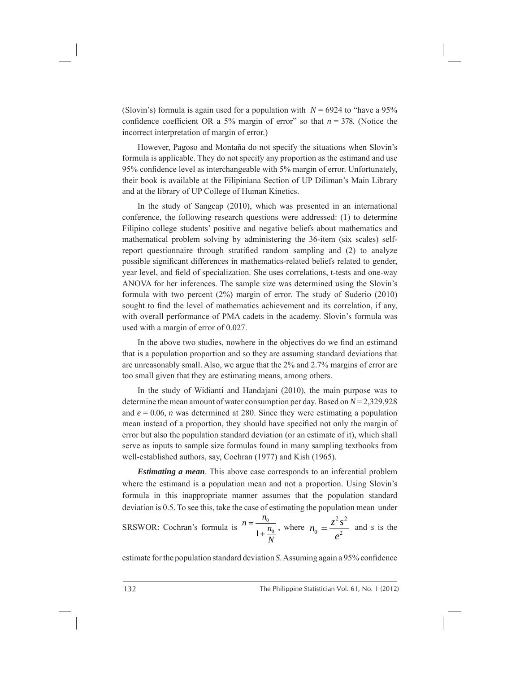(Slovin's) formula is again used for a population with  $N = 6924$  to "have a 95% confidence coefficient OR a 5% margin of error" so that  $n = 378$ . (Notice the incorrect interpretation of margin of error.)

However, Pagoso and Montaña do not specify the situations when Slovin's formula is applicable. They do not specify any proportion as the estimand and use 95% confidence level as interchangeable with 5% margin of error. Unfortunately, their book is available at the Filipiniana Section of UP Diliman's Main Library and at the library of UP College of Human Kinetics.

In the study of Sangcap (2010), which was presented in an international conference, the following research questions were addressed: (1) to determine Filipino college students' positive and negative beliefs about mathematics and mathematical problem solving by administering the 36-item (six scales) selfreport questionnaire through stratified random sampling and  $(2)$  to analyze possible significant differences in mathematics-related beliefs related to gender, year level, and field of specialization. She uses correlations, t-tests and one-way ANOVA for her inferences. The sample size was determined using the Slovin's formula with two percent (2%) margin of error. The study of Suderio (2010) sought to find the level of mathematics achievement and its correlation, if any, with overall performance of PMA cadets in the academy. Slovin's formula was used with a margin of error of 0.027.

In the above two studies, nowhere in the objectives do we find an estimand that is a population proportion and so they are assuming standard deviations that are unreasonably small. Also, we argue that the 2% and 2.7% margins of error are too small given that they are estimating means, among others.

In the study of Widianti and Handajani (2010), the main purpose was to determine the mean amount of water consumption per day. Based on *N* = 2,329,928 and  $e = 0.06$ , *n* was determined at 280. Since they were estimating a population mean instead of a proportion, they should have specified not only the margin of error but also the population standard deviation (or an estimate of it), which shall serve as inputs to sample size formulas found in many sampling textbooks from well-established authors, say, Cochran (1977) and Kish (1965).

*Estimating a mean*. This above case corresponds to an inferential problem where the estimand is a population mean and not a proportion. Using Slovin's formula in this inappropriate manner assumes that the population standard deviation is 0.5. To see this, take the case of estimating the population mean under

SRSWOR: Cochran's formula is  $n = \frac{n_0}{1 + \frac{n_0}{N}}$  $n = \frac{n_0}{n}$ *N*  $=$  $\frac{n_0}{1+\cdots}$ , where  $2\sqrt{2}$  $0 - 2$  $n_0 = \frac{z^2 s^2}{e^2}$  and *s* is the

estimate for the population standard deviation *S*. Assuming again a 95% confidence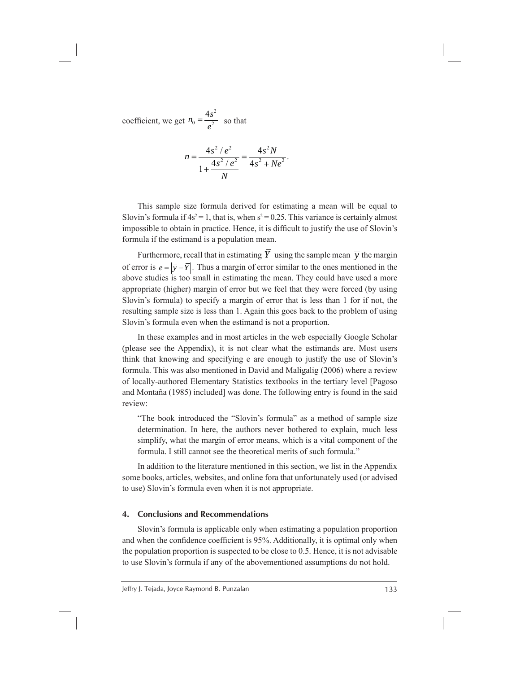coefficient, we get 2  $0 - 2$  $n_0 = \frac{4s^2}{e^2}$  so that

$$
n = \frac{4s^2/e^2}{1 + \frac{4s^2/e^2}{N}} = \frac{4s^2N}{4s^2 + Ne^2}.
$$

This sample size formula derived for estimating a mean will be equal to Slovin's formula if  $4s^2 = 1$ , that is, when  $s^2 = 0.25$ . This variance is certainly almost impossible to obtain in practice. Hence, it is difficult to justify the use of Slovin's formula if the estimand is a population mean.

Furthermore, recall that in estimating  $\overline{Y}$  using the sample mean  $\overline{y}$  the margin of error is  $e = |\overline{y} - \overline{Y}|$ . Thus a margin of error similar to the ones mentioned in the above studies is too small in estimating the mean. They could have used a more appropriate (higher) margin of error but we feel that they were forced (by using Slovin's formula) to specify a margin of error that is less than 1 for if not, the resulting sample size is less than 1. Again this goes back to the problem of using Slovin's formula even when the estimand is not a proportion.

In these examples and in most articles in the web especially Google Scholar (please see the Appendix), it is not clear what the estimands are. Most users think that knowing and specifying e are enough to justify the use of Slovin's formula. This was also mentioned in David and Maligalig (2006) where a review of locally-authored Elementary Statistics textbooks in the tertiary level [Pagoso and Montaña (1985) included] was done. The following entry is found in the said review:

 "The book introduced the "Slovin's formula" as a method of sample size determination. In here, the authors never bothered to explain, much less simplify, what the margin of error means, which is a vital component of the formula. I still cannot see the theoretical merits of such formula."

In addition to the literature mentioned in this section, we list in the Appendix some books, articles, websites, and online fora that unfortunately used (or advised to use) Slovin's formula even when it is not appropriate.

#### **4. Conclusions and Recommendations**

Slovin's formula is applicable only when estimating a population proportion and when the confidence coefficient is 95%. Additionally, it is optimal only when the population proportion is suspected to be close to 0.5. Hence, it is not advisable to use Slovin's formula if any of the abovementioned assumptions do not hold.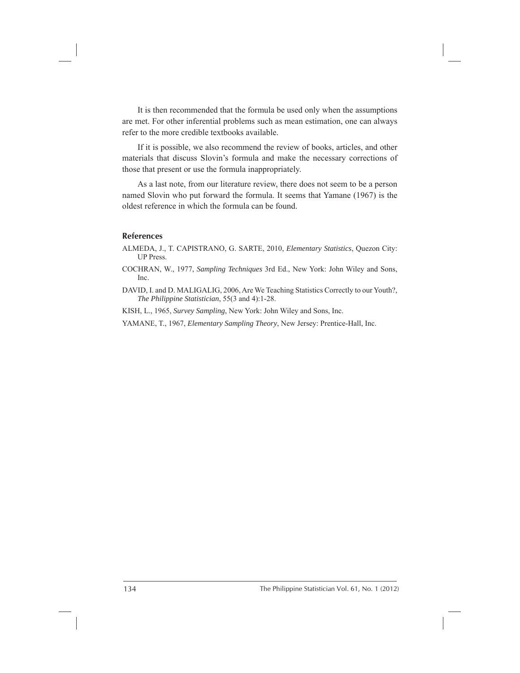It is then recommended that the formula be used only when the assumptions are met. For other inferential problems such as mean estimation, one can always refer to the more credible textbooks available.

If it is possible, we also recommend the review of books, articles, and other materials that discuss Slovin's formula and make the necessary corrections of those that present or use the formula inappropriately.

As a last note, from our literature review, there does not seem to be a person named Slovin who put forward the formula. It seems that Yamane (1967) is the oldest reference in which the formula can be found.

## **References**

ALMEDA, J., T. CAPISTRANO, G. SARTE, 2010, *Elementary Statistics*, Quezon City: UP Press.

COCHRAN, W., 1977, *Sampling Techniques* 3rd Ed., New York: John Wiley and Sons, Inc.

DAVID, I. and D. MALIGALIG, 2006, Are We Teaching Statistics Correctly to our Youth?, *The Philippine Statistician*, 55(3 and 4):1-28.

KISH, L., 1965, *Survey Sampling*, New York: John Wiley and Sons, Inc.

YAMANE, T., 1967, *Elementary Sampling Theory*, New Jersey: Prentice-Hall, Inc.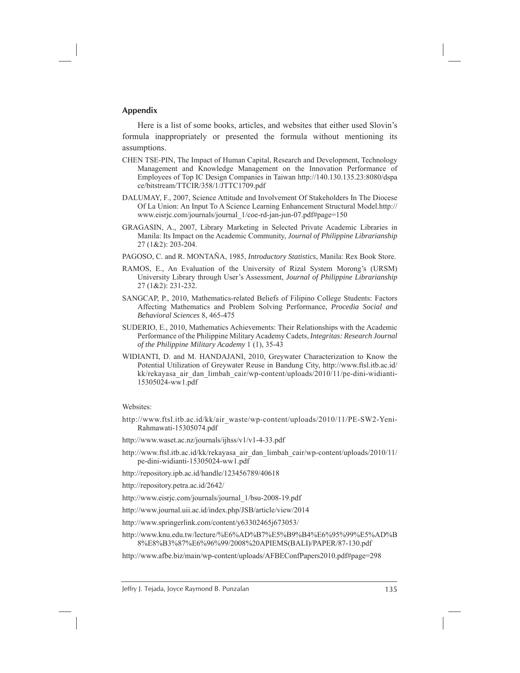## **Appendix**

Here is a list of some books, articles, and websites that either used Slovin's formula inappropriately or presented the formula without mentioning its assumptions.

- CHEN TSE-PIN, The Impact of Human Capital, Research and Development, Technology Management and Knowledge Management on the Innovation Performance of Employees of Top IC Design Companies in Taiwan http://140.130.135.23:8080/dspa ce/bitstream/TTCIR/358/1/JTTC1709.pdf
- DALUMAY, F., 2007, Science Attitude and Involvement Of Stakeholders In The Diocese Of La Union: An Input To A Science Learning Enhancement Structural Model.http:// www.eisrjc.com/journals/journal\_1/coe-rd-jan-jun-07.pdf#page=150
- GRAGASIN, A., 2007, Library Marketing in Selected Private Academic Libraries in Manila: Its Impact on the Academic Community, *Journal of Philippine Librarianship*  27 (1&2): 203-204.
- PAGOSO, C. and R. MONTAÑA, 1985, *Introductory Statistics*, Manila: Rex Book Store.
- RAMOS, E., An Evaluation of the University of Rizal System Morong's (URSM) University Library through User's Assessment, *Journal of Philippine Librarianship*  27 (1&2): 231-232.
- SANGCAP, P., 2010, Mathematics-related Beliefs of Filipino College Students: Factors Affecting Mathematics and Problem Solving Performance, *Procedia Social and Behavioral Sciences* 8, 465-475
- SUDERIO, E., 2010, Mathematics Achievements: Their Relationships with the Academic Performance of the Philippine Military Academy Cadets, *Integritas: Research Journal of the Philippine Military Academy* 1 (1), 35-43
- WIDIANTI, D. and M. HANDAJANI, 2010, Greywater Characterization to Know the Potential Utilization of Greywater Reuse in Bandung City, http://www.ftsl.itb.ac.id/ kk/rekayasa\_air\_dan\_limbah\_cair/wp-content/uploads/2010/11/pe-dini-widianti-15305024-ww1.pdf

#### Websites:

- http://www.ftsl.itb.ac.id/kk/air\_waste/wp-content/uploads/2010/11/PE-SW2-Yeni-Rahmawati-15305074.pdf
- http://www.waset.ac.nz/journals/ijhss/v1/v1-4-33.pdf
- http://www.ftsl.itb.ac.id/kk/rekayasa\_air\_dan\_limbah\_cair/wp-content/uploads/2010/11/ pe-dini-widianti-15305024-ww1.pdf
- http://repository.ipb.ac.id/handle/123456789/40618
- http://repository.petra.ac.id/2642/
- http://www.eisrjc.com/journals/journal\_1/bsu-2008-19.pdf
- http://www.journal.uii.ac.id/index.php/JSB/article/view/2014
- http://www.springerlink.com/content/y63302465j673053/

http://www.knu.edu.tw/lecture/%E6%AD%B7%E5%B9%B4%E6%95%99%E5%AD%B 8%E8%B3%87%E6%96%99/2008%20APIEMS(BALI)/PAPER/87-130.pdf

http://www.afbe.biz/main/wp-content/uploads/AFBEConfPapers2010.pdf#page=298

Jeffry J. Tejada, Joyce Raymond B. Punzalan